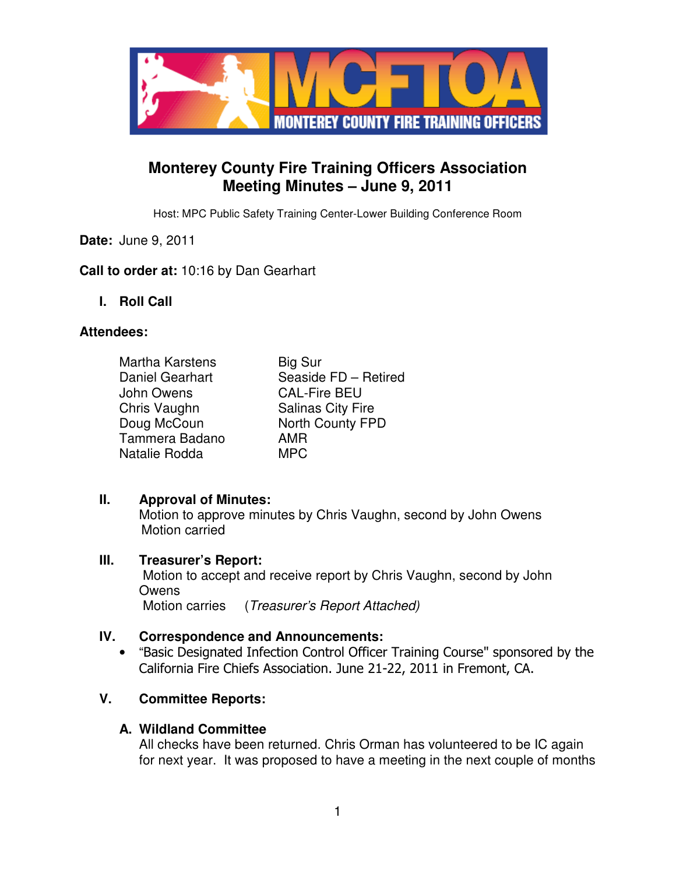

# **Monterey County Fire Training Officers Association Meeting Minutes – June 9, 2011**

Host: MPC Public Safety Training Center-Lower Building Conference Room

## **Date:** June 9, 2011

## **Call to order at:** 10:16 by Dan Gearhart

**I. Roll Call** 

#### **Attendees:**

| <b>Martha Karstens</b> | <b>Big Sur</b>           |
|------------------------|--------------------------|
| Daniel Gearhart        | Seaside FD - Retired     |
| John Owens             | <b>CAL-Fire BEU</b>      |
| Chris Vaughn           | <b>Salinas City Fire</b> |
| Doug McCoun            | North County FPD         |
| Tammera Badano         | AMR                      |
| Natalie Rodda          | MPC.                     |

#### **II. Approval of Minutes:**

Motion to approve minutes by Chris Vaughn, second by John Owens Motion carried

#### **III. Treasurer's Report:**

 Motion to accept and receive report by Chris Vaughn, second by John **Owens** Motion carries (*Treasurer's Report Attached*)

## **IV. Correspondence and Announcements:**

• "Basic Designated Infection Control Officer Training Course" sponsored by the California Fire Chiefs Association. June 21-22, 2011 in Fremont, CA.

# **V. Committee Reports:**

#### **A. Wildland Committee**

All checks have been returned. Chris Orman has volunteered to be IC again for next year. It was proposed to have a meeting in the next couple of months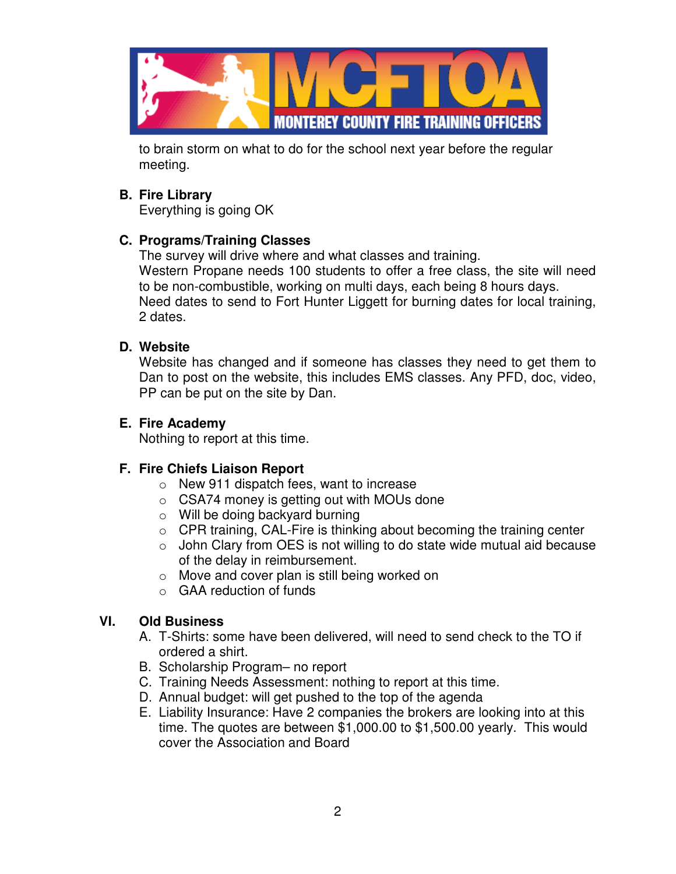

to brain storm on what to do for the school next year before the regular meeting.

## **B. Fire Library**

Everything is going OK

# **C. Programs/Training Classes**

The survey will drive where and what classes and training. Western Propane needs 100 students to offer a free class, the site will need to be non-combustible, working on multi days, each being 8 hours days. Need dates to send to Fort Hunter Liggett for burning dates for local training, 2 dates.

# **D. Website**

Website has changed and if someone has classes they need to get them to Dan to post on the website, this includes EMS classes. Any PFD, doc, video, PP can be put on the site by Dan.

# **E. Fire Academy**

Nothing to report at this time.

# **F. Fire Chiefs Liaison Report**

- o New 911 dispatch fees, want to increase
- o CSA74 money is getting out with MOUs done
- o Will be doing backyard burning
- $\circ$  CPR training, CAL-Fire is thinking about becoming the training center
- o John Clary from OES is not willing to do state wide mutual aid because of the delay in reimbursement.
- o Move and cover plan is still being worked on
- o GAA reduction of funds

## **VI. Old Business**

- A. T-Shirts: some have been delivered, will need to send check to the TO if ordered a shirt.
- B. Scholarship Program– no report
- C. Training Needs Assessment: nothing to report at this time.
- D. Annual budget: will get pushed to the top of the agenda
- E. Liability Insurance: Have 2 companies the brokers are looking into at this time. The quotes are between \$1,000.00 to \$1,500.00 yearly. This would cover the Association and Board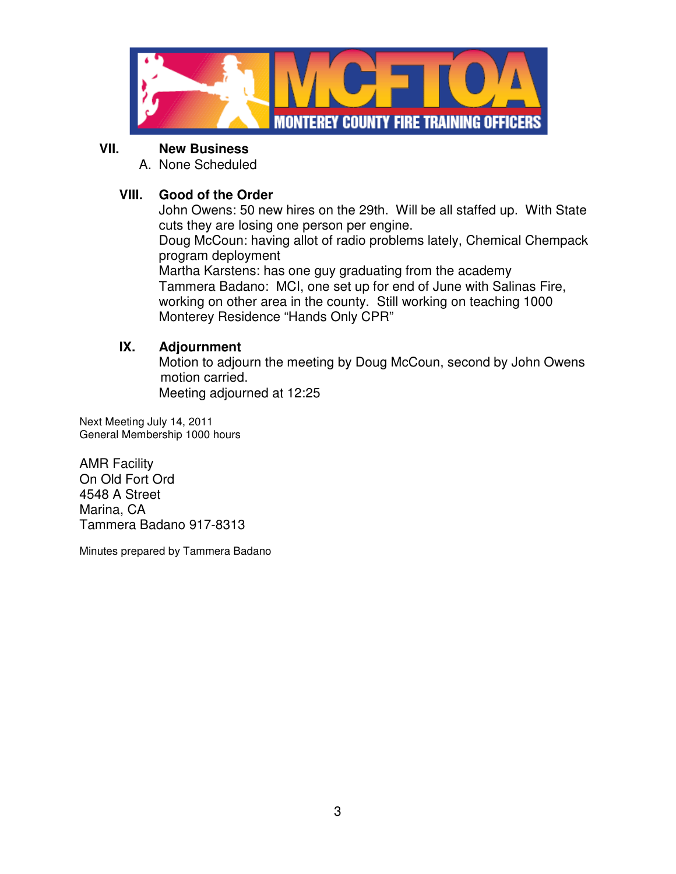

#### **VII. New Business**

A. None Scheduled

# **VIII. Good of the Order**

John Owens: 50 new hires on the 29th. Will be all staffed up. With State cuts they are losing one person per engine.

Doug McCoun: having allot of radio problems lately, Chemical Chempack program deployment

Martha Karstens: has one guy graduating from the academy Tammera Badano: MCI, one set up for end of June with Salinas Fire, working on other area in the county. Still working on teaching 1000 Monterey Residence "Hands Only CPR"

## **IX. Adjournment**

 Motion to adjourn the meeting by Doug McCoun, second by John Owens motion carried. Meeting adjourned at 12:25

Next Meeting July 14, 2011 General Membership 1000 hours

AMR Facility On Old Fort Ord 4548 A Street Marina, CA Tammera Badano 917-8313

Minutes prepared by Tammera Badano